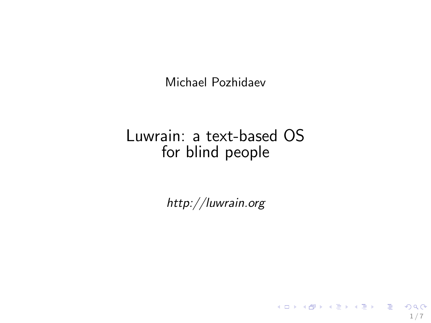Michael Pozhidaev

## Luwrain: a text-based OS for blind people

http://luwrain.org

1 / 7

K ロ X K @ X K 할 X K 할 X - 할 X YO Q @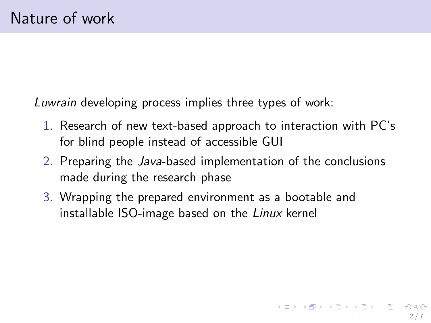Luwrain developing process implies three types of work:

- 1. Research of new text-based approach to interaction with PC's for blind people instead of accessible GUI
- 2. Preparing the Java-based implementation of the conclusions made during the research phase

2 / 7

**K ロ ▶ K 御 ▶ K 澄 ▶ K 澄 ▶ │ 碧** 

3. Wrapping the prepared environment as a bootable and installable ISO-image based on the Linux kernel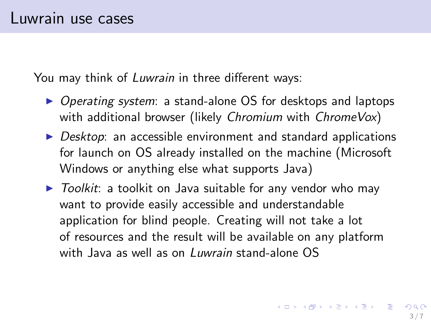You may think of Luwrain in three different ways:

- ▶ Operating system: a stand-alone OS for desktops and laptops with additional browser (likely Chromium with ChromeVox)
- $\triangleright$  Desktop: an accessible environment and standard applications for launch on OS already installed on the machine (Microsoft Windows or anything else what supports Java)
- $\triangleright$  Toolkit: a toolkit on Java suitable for any vendor who may want to provide easily accessible and understandable application for blind people. Creating will not take a lot of resources and the result will be available on any platform with Java as well as on *Luwrain* stand-alone OS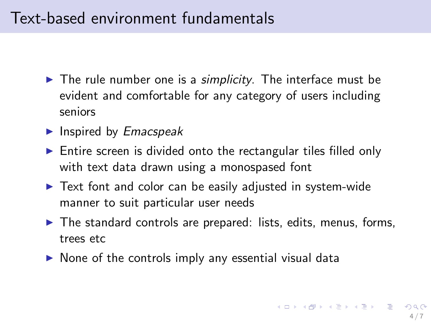## Text-based environment fundamentals

- $\blacktriangleright$  The rule number one is a *simplicity*. The interface must be evident and comfortable for any category of users including seniors
- $\blacktriangleright$  Inspired by *Emacspeak*
- $\triangleright$  Entire screen is divided onto the rectangular tiles filled only with text data drawn using a monospased font
- ► Text font and color can be easily adjusted in system-wide manner to suit particular user needs
- $\blacktriangleright$  The standard controls are prepared: lists, edits, menus, forms, trees etc
- $\triangleright$  None of the controls imply any essential visual data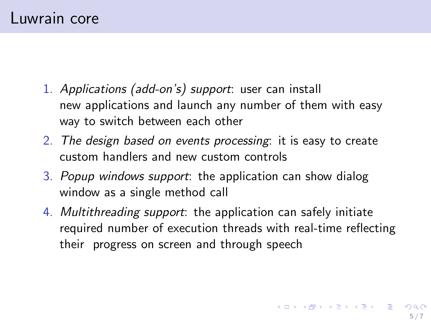- 1. Applications (add-on's) support: user can install new applications and launch any number of them with easy way to switch between each other
- 2. The design based on events processing: it is easy to create custom handlers and new custom controls
- 3. Popup windows support: the application can show dialog window as a single method call
- 4. Multithreading support: the application can safely initiate required number of execution threads with real-time reflecting their progress on screen and through speech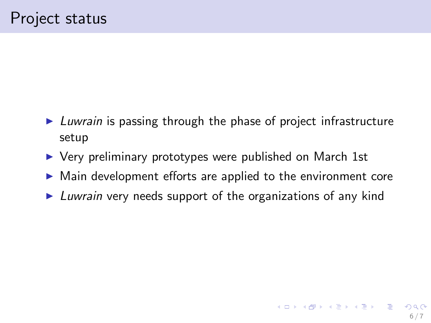- ► Luwrain is passing through the phase of project infrastructure setup
- ▶ Very preliminary prototypes were published on March 1st
- ▶ Main development efforts are applied to the environment core
- $\triangleright$  Luwrain very needs support of the organizations of any kind